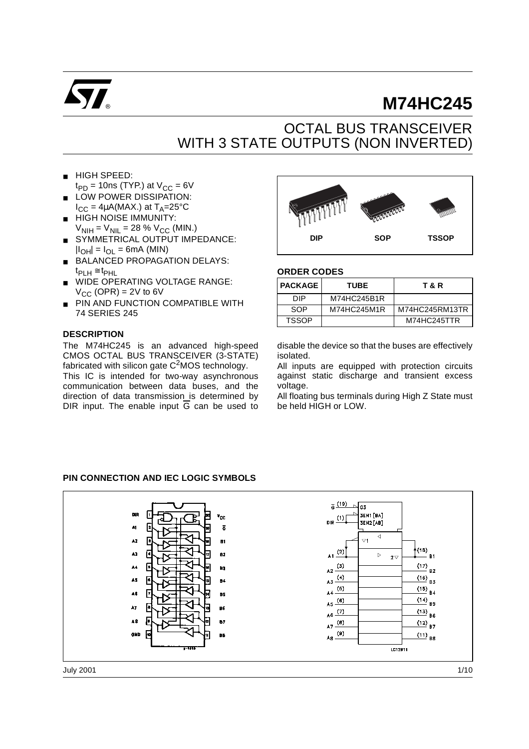

# **M74HC245**

## OCTAL BUS TRANSCEIVER WITH 3 STATE OUTPUTS (NON INVERTED)

- HIGH SPEED:  $t_{PD}$  = 10ns (TYP.) at  $V_{CC}$  = 6V
- LOW POWER DISSIPATION:  $I_{CC} = 4\mu A(MAX.)$  at  $T_A = 25^{\circ}C$
- HIGH NOISE IMMUNITY:  $V_{\text{NIH}} = V_{\text{NIL}} = 28 \% V_{\text{CC}}$  (MIN.)
- SYMMETRICAL OUTPUT IMPEDANCE:  $|I_{OH}| = I_{OL} = 6mA$  (MIN)
- BALANCED PROPAGATION DELAYS:  $t_{\text{PLH}} \cong t_{\text{PHL}}$
- WIDE OPERATING VOLTAGE RANGE:  $V_{CC}$  (OPR) = 2V to 6V
- PIN AND FUNCTION COMPATIBLE WITH 74 SERIES 245

#### **DESCRIPTION**

The M74HC245 is an advanced high-speed CMOS OCTAL BUS TRANSCEIVER (3-STATE) fabricated with silicon gate  $C^2$ MOS technology.

This IC is intended for two-way asynchronous communication between data buses, and the direction of data transmission is determined by DIR input. The enable input  $\overline{G}$  can be used to



#### **ORDER CODES**

| <b>PACKAGE</b> | TUBE        | T & R          |
|----------------|-------------|----------------|
| DIP            | M74HC245B1R |                |
| SOP            | M74HC245M1R | M74HC245RM13TR |
| <b>TSSOP</b>   |             | M74HC245TTR    |

disable the device so that the buses are effectively isolated.

All inputs are equipped with protection circuits against static discharge and transient excess voltage.

All floating bus terminals during High Z State must be held HIGH or LOW.

#### **PIN CONNECTION AND IEC LOGIC SYMBOLS**

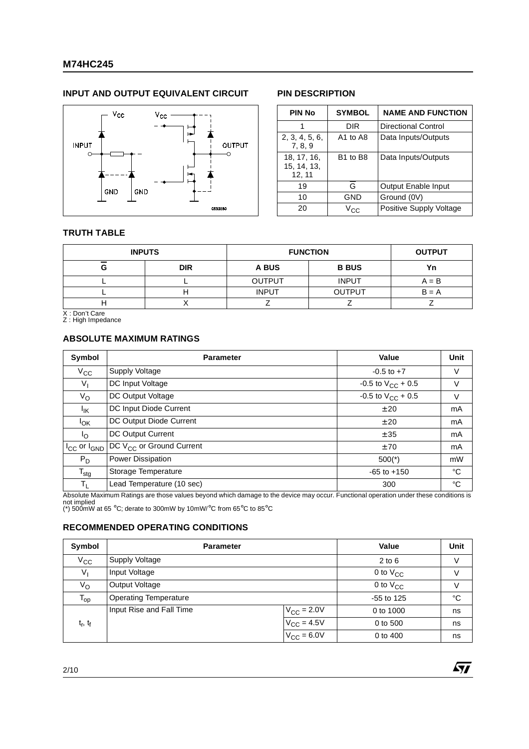### **M74HC245**

#### **INPUT AND OUTPUT EQUIVALENT CIRCUIT PIN DESCRIPTION**



| <b>PIN No</b>                        | <b>SYMBOL</b>                    | <b>NAME AND FUNCTION</b>   |  |  |  |  |
|--------------------------------------|----------------------------------|----------------------------|--|--|--|--|
|                                      | DIR                              | <b>Directional Control</b> |  |  |  |  |
| 2, 3, 4, 5, 6,<br>7, 8, 9            | A1 to A8                         | Data Inputs/Outputs        |  |  |  |  |
| 18, 17, 16,<br>15, 14, 13,<br>12, 11 | B <sub>1</sub> to B <sub>8</sub> | Data Inputs/Outputs        |  |  |  |  |
| 19                                   | G                                | Output Enable Input        |  |  |  |  |
| 10                                   | GND                              | Ground (0V)                |  |  |  |  |
| 20                                   | Vec                              | Positive Supply Voltage    |  |  |  |  |

57

#### **TRUTH TABLE**

|   | <b>INPUTS</b> | <b>FUNCTION</b> | <b>OUTPUT</b> |         |  |
|---|---------------|-----------------|---------------|---------|--|
| G | <b>DIR</b>    | A BUS           | <b>B BUS</b>  |         |  |
|   |               | <b>OUTPUT</b>   | <b>INPUT</b>  | $A = B$ |  |
|   |               | <b>INPUT</b>    | <b>OUTPUT</b> | $B = A$ |  |
| . |               |                 |               |         |  |

X : Don't Care Z : High Impedance

#### **ABSOLUTE MAXIMUM RATINGS**

| Symbol                        | <b>Parameter</b>                     | Value                    | Unit |
|-------------------------------|--------------------------------------|--------------------------|------|
| $V_{\rm CC}$                  | Supply Voltage                       | $-0.5$ to $+7$           | V    |
| $V_{I}$                       | DC Input Voltage                     | $-0.5$ to $V_{CC}$ + 0.5 | V    |
| $V_{\rm O}$                   | DC Output Voltage                    | $-0.5$ to $V_{CC}$ + 0.5 | V    |
| Ιĸ                            | DC Input Diode Current               | ± 20                     | mA   |
| <b>I<sub>OK</sub></b>         | DC Output Diode Current              | ± 20                     | mA   |
| $\mathsf{I}_{\Omega}$         | DC Output Current                    | ± 35                     | mA   |
| $I_{\rm CC}$ or $I_{\rm GND}$ | DC V <sub>CC</sub> or Ground Current | ±70                      | mA   |
| $P_D$                         | Power Dissipation                    | $500(*)$                 | mW   |
| $T_{\text{stg}}$              | Storage Temperature                  | $-65$ to $+150$          | °C   |
| $T_{L}$                       | Lead Temperature (10 sec)            | 300                      | °C   |

Absolute Maximum Ratings are those values beyond which damage to the device may occur. Functional operation under these conditions is not implied (\*) 500mW at 65 °C; derate to 300mW by 10mW/°C from 65°C to 85°C

#### **RECOMMENDED OPERATING CONDITIONS**

| Symbol                          | <b>Parameter</b>             | Value                  | Unit          |             |
|---------------------------------|------------------------------|------------------------|---------------|-------------|
| $V_{\rm CC}$                    | <b>Supply Voltage</b>        | $2$ to $6$             | V             |             |
| $V_{\parallel}$                 | Input Voltage                |                        | 0 to $V_{CC}$ | V           |
| Vo                              | Output Voltage               | 0 to $V_{CC}$          | V             |             |
| $\mathsf{T}_{\text{op}}$        | <b>Operating Temperature</b> |                        | $-55$ to 125  | $^{\circ}C$ |
|                                 | Input Rise and Fall Time     | $V_{\text{CC}}$ = 2.0V | 0 to 1000     | ns          |
| t <sub>r</sub> , t <sub>f</sub> |                              | $V_{\text{CC}} = 4.5V$ | 0 to 500      | ns          |
|                                 |                              | $V_{CC} = 6.0V$        | 0 to 400      | ns          |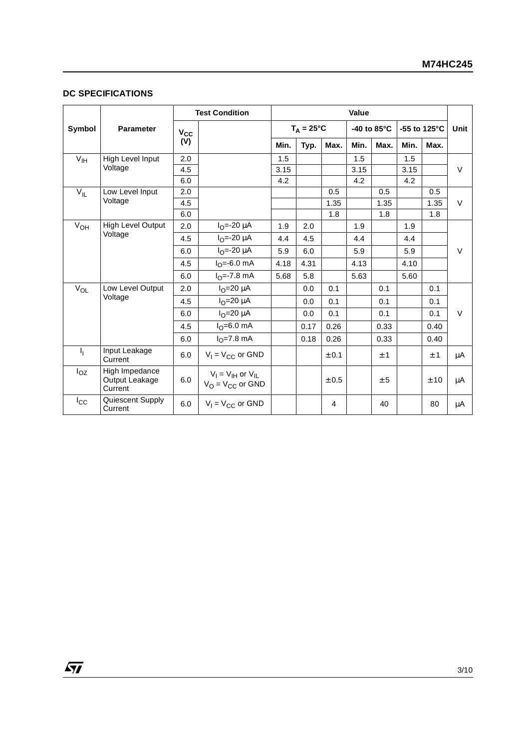#### **DC SPECIFICATIONS**

 $\sqrt{M}$ 

|                 |                                             |              | <b>Test Condition</b>                               | Value |                     |       |             |      |      |                         |        |
|-----------------|---------------------------------------------|--------------|-----------------------------------------------------|-------|---------------------|-------|-------------|------|------|-------------------------|--------|
| Symbol          | <b>Parameter</b>                            | $V_{\rm CC}$ |                                                     |       | $T_A = 25^{\circ}C$ |       | -40 to 85°C |      |      | -55 to 125 $^{\circ}$ C |        |
|                 |                                             | (V)          |                                                     | Min.  | Typ.                | Max.  | Min.        | Max. | Min. | Max.                    |        |
| V <sub>IH</sub> | High Level Input                            | 2.0          |                                                     | 1.5   |                     |       | 1.5         |      | 1.5  |                         |        |
|                 | Voltage                                     | 4.5          |                                                     | 3.15  |                     |       | 3.15        |      | 3.15 |                         | $\vee$ |
|                 |                                             | 6.0          |                                                     | 4.2   |                     |       | 4.2         |      | 4.2  |                         |        |
| $V_{IL}$        | Low Level Input                             | 2.0          |                                                     |       |                     | 0.5   |             | 0.5  |      | 0.5                     |        |
|                 | Voltage                                     | 4.5          |                                                     |       |                     | 1.35  |             | 1.35 |      | 1.35                    | $\vee$ |
|                 |                                             | 6.0          |                                                     |       |                     | 1.8   |             | 1.8  |      | 1.8                     |        |
| $V_{OH}$        | <b>High Level Output</b>                    | 2.0          | $I_{\Omega} = -20 \mu A$                            | 1.9   | 2.0                 |       | 1.9         |      | 1.9  |                         |        |
|                 | Voltage                                     | 4.5          | $I_{\Omega} = -20 \mu A$                            | 4.4   | 4.5                 |       | 4.4         |      | 4.4  |                         |        |
|                 |                                             | 6.0          | $I_{\Omega} = -20 \mu A$                            | 5.9   | 6.0                 |       | 5.9         |      | 5.9  |                         | V      |
|                 |                                             | 4.5          | $I_0 = -6.0$ mA                                     | 4.18  | 4.31                |       | 4.13        |      | 4.10 |                         |        |
|                 |                                             | 6.0          | $IO=-7.8$ mA                                        | 5.68  | 5.8                 |       | 5.63        |      | 5.60 |                         |        |
| $V_{OL}$        | Low Level Output                            | 2.0          | $I_{\Omega}$ =20 µA                                 |       | 0.0                 | 0.1   |             | 0.1  |      | 0.1                     |        |
|                 | Voltage                                     | 4.5          | $IO=20 \mu A$                                       |       | 0.0                 | 0.1   |             | 0.1  |      | 0.1                     |        |
|                 |                                             | 6.0          | $IO=20 \mu A$                                       |       | 0.0                 | 0.1   |             | 0.1  |      | 0.1                     | $\vee$ |
|                 |                                             | 4.5          | $I_{\Omega} = 6.0$ mA                               |       | 0.17                | 0.26  |             | 0.33 |      | 0.40                    |        |
|                 |                                             | 6.0          | $I_{\Omega} = 7.8$ mA                               |       | 0.18                | 0.26  |             | 0.33 |      | 0.40                    |        |
| J <sub>L</sub>  | Input Leakage<br>Current                    | 6.0          | $V_1 = V_{CC}$ or GND                               |       |                     | ± 0.1 |             | ±1   |      | ±1                      | μA     |
| $I_{OZ}$        | High Impedance<br>Output Leakage<br>Current | 6.0          | $V_I = V_{IH}$ or $V_{IL}$<br>$V_O = V_{CC}$ or GND |       |                     | ± 0.5 |             | ± 5  |      | ± 10                    | μA     |
| $I_{\rm CC}$    | Quiescent Supply<br>Current                 | 6.0          | $V_1 = V_{CC}$ or GND                               |       |                     | 4     |             | 40   |      | 80                      | μA     |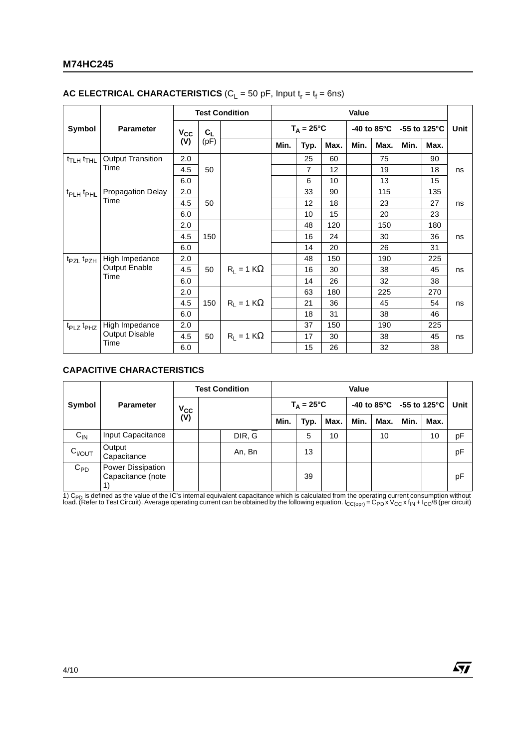### **M74HC245**

| <b>AC ELECTRICAL CHARACTERISTICS</b> ( $C_L$ = 50 pF, Input $t_r = t_f = 6$ ns) |  |
|---------------------------------------------------------------------------------|--|
|---------------------------------------------------------------------------------|--|

|                                   |                          | <b>Test Condition</b> |       |                   | Value               |      |                       |      |                         |      |      |    |
|-----------------------------------|--------------------------|-----------------------|-------|-------------------|---------------------|------|-----------------------|------|-------------------------|------|------|----|
| Symbol                            | <b>Parameter</b>         | $V_{\rm CC}$          | $C_L$ |                   | $T_A = 25^{\circ}C$ |      | -40 to $85^{\circ}$ C |      | -55 to 125 $^{\circ}$ C |      | Unit |    |
|                                   |                          | (V)                   | (pF)  |                   | Min.                | Typ. | Max.                  | Min. | Max.                    | Min. | Max. |    |
| t <sub>TLH</sub> t <sub>THL</sub> | <b>Output Transition</b> | 2.0                   |       |                   |                     | 25   | 60                    |      | 75                      |      | 90   |    |
|                                   | Time                     | 4.5                   | 50    |                   |                     | 7    | 12                    |      | 19                      |      | 18   | ns |
|                                   |                          | 6.0                   |       |                   |                     | 6    | 10                    |      | 13                      |      | 15   |    |
| t <sub>PLH</sub> t <sub>PHL</sub> | <b>Propagation Delay</b> | 2.0                   |       |                   |                     | 33   | 90                    |      | 115                     |      | 135  |    |
|                                   | Time                     | 4.5                   | 50    |                   |                     | 12   | 18                    |      | 23                      |      | 27   | ns |
|                                   |                          | 6.0                   |       |                   |                     | 10   | 15                    |      | 20                      |      | 23   |    |
|                                   |                          | 2.0                   |       |                   |                     | 48   | 120                   |      | 150                     |      | 180  |    |
|                                   |                          | 4.5                   | 150   |                   |                     | 16   | 24                    |      | 30                      |      | 36   | ns |
|                                   |                          | 6.0                   |       |                   |                     | 14   | 20                    |      | 26                      |      | 31   |    |
| $t_{PZL}$ $t_{PZH}$               | High Impedance           | 2.0                   |       |                   | 48                  | 150  |                       | 190  |                         | 225  |      |    |
|                                   | <b>Output Enable</b>     | 4.5                   | 50    | $R_1 = 1 K\Omega$ |                     | 16   | 30                    |      | 38                      |      | 45   | ns |
|                                   | Time                     | 6.0                   |       |                   |                     | 14   | 26                    |      | 32                      |      | 38   |    |
|                                   |                          | 2.0                   |       |                   |                     | 63   | 180                   |      | 225                     |      | 270  | ns |
|                                   |                          | 4.5                   | 150   | $R_1 = 1 K\Omega$ |                     | 21   | 36                    |      | 45                      |      | 54   |    |
|                                   |                          | 6.0                   |       |                   |                     | 18   | 31                    |      | 38                      |      | 46   |    |
| $t_{PLZ}$ $t_{PHZ}$               | High Impedance           | 2.0                   |       |                   |                     | 37   | 150                   |      | 190                     |      | 225  |    |
|                                   | <b>Output Disable</b>    | 4.5                   | 50    | $R_1 = 1 K\Omega$ |                     | 17   | 30                    |      | 38                      |      | 45   | ns |
|                                   | Time                     | 6.0                   |       |                   |                     | 15   | 26                    |      | 32                      |      | 38   |    |

#### **CAPACITIVE CHARACTERISTICS**

|             |                                        | <b>Test Condition</b> |  |        | Value |                     |      |      |      |      |                                                  |    |
|-------------|----------------------------------------|-----------------------|--|--------|-------|---------------------|------|------|------|------|--------------------------------------------------|----|
| Symbol      | <b>Parameter</b>                       | $V_{\rm CC}$<br>(V)   |  |        |       | $T_A = 25^{\circ}C$ |      |      |      |      | -40 to 85 $^{\circ}$ C   -55 to 125 $^{\circ}$ C |    |
|             |                                        |                       |  |        | Min.  | Typ.                | Max. | Min. | Max. | Min. | Max.                                             |    |
| $C_{IN}$    | Input Capacitance                      |                       |  | DIR, G |       | 5                   | 10   |      | 10   |      | 10                                               | pF |
| $C_{I/OUT}$ | Output<br>Capacitance                  |                       |  | An, Bn |       | 13                  |      |      |      |      |                                                  | pF |
| $C_{PD}$    | Power Dissipation<br>Capacitance (note |                       |  |        |       | 39                  |      |      |      |      |                                                  | рF |

1) C<sub>PD</sub> is defined as the value of the IC's internal equivalent capacitance which is calculated from the operating current consumption without<br>load. (Refer to Test Circuit). Average operating current can be obtained by th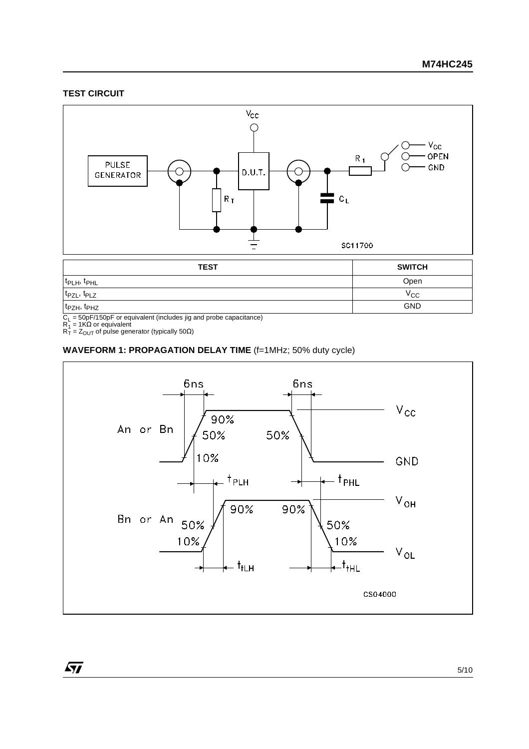#### **TEST CIRCUIT**



t<sub>PZH</sub>, t<sub>PHZ</sub> GND

 $\sqrt{27}$ 

C<sub>L</sub> = 50pF/150pF or equivalent (includes jig and probe capacitance)<br>R<sub>1</sub> = 1KΩ or equivalent<br>R<sub>T</sub> = Z<sub>OUT</sub> of pulse generator (typically 50Ω)

#### **WAVEFORM 1: PROPAGATION DELAY TIME** (f=1MHz; 50% duty cycle)

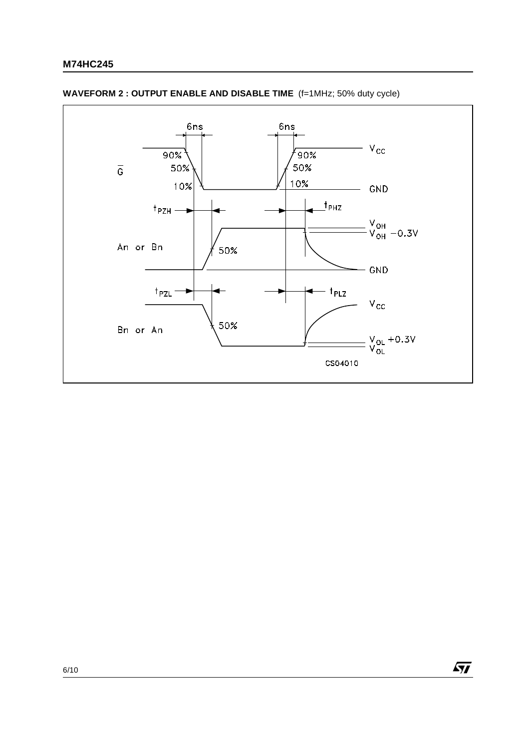

#### **WAVEFORM 2 : OUTPUT ENABLE AND DISABLE TIME** (f=1MHz; 50% duty cycle)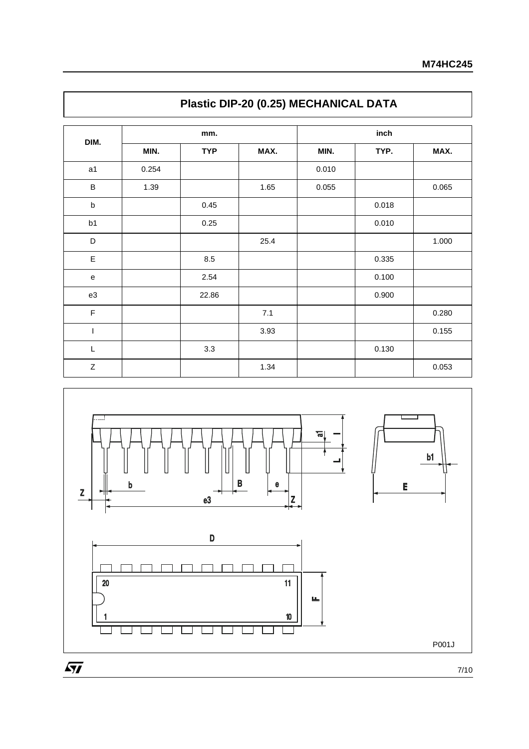|             |       | mm.        |      | inch  |       |       |  |  |
|-------------|-------|------------|------|-------|-------|-------|--|--|
| DIM.        | MIN.  | <b>TYP</b> | MAX. | MIN.  | TYP.  | MAX.  |  |  |
| a1          | 0.254 |            |      | 0.010 |       |       |  |  |
| $\sf B$     | 1.39  |            | 1.65 | 0.055 |       | 0.065 |  |  |
| $\sf b$     |       | 0.45       |      |       | 0.018 |       |  |  |
| b1          |       | 0.25       |      |       | 0.010 |       |  |  |
| D           |       |            | 25.4 |       |       | 1.000 |  |  |
| $\mathsf E$ |       | 8.5        |      |       | 0.335 |       |  |  |
| ${\bf e}$   |       | 2.54       |      |       | 0.100 |       |  |  |
| e3          |       | 22.86      |      |       | 0.900 |       |  |  |
| $\mathsf F$ |       |            | 7.1  |       |       | 0.280 |  |  |
| T           |       |            | 3.93 |       |       | 0.155 |  |  |
| L           |       | 3.3        |      |       | 0.130 |       |  |  |
| $\mathsf Z$ |       |            | 1.34 |       |       | 0.053 |  |  |



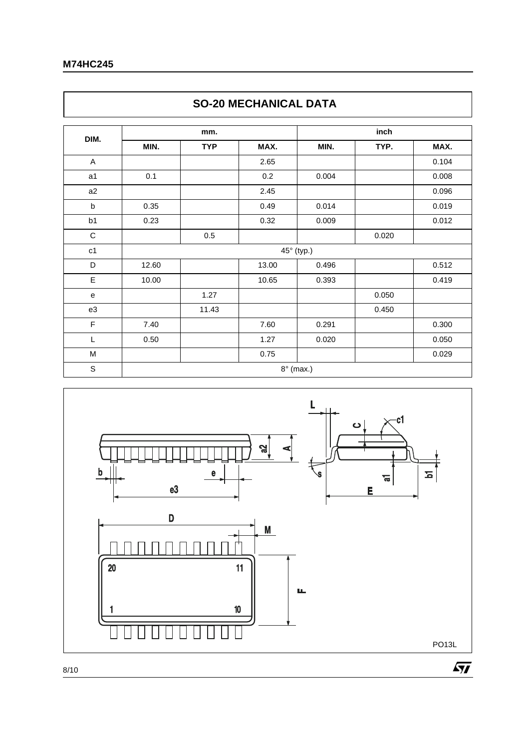$\Gamma$ 

|                | <b>SO-20 MECHANICAL DATA</b> |            |       |                  |       |       |  |  |  |  |
|----------------|------------------------------|------------|-------|------------------|-------|-------|--|--|--|--|
| DIM.           |                              | mm.        |       | inch             |       |       |  |  |  |  |
|                | MIN.                         | <b>TYP</b> | MAX.  | MIN.             | TYP.  | MAX.  |  |  |  |  |
| A              |                              |            | 2.65  |                  |       | 0.104 |  |  |  |  |
| a <sub>1</sub> | 0.1                          |            | 0.2   | 0.004            |       | 0.008 |  |  |  |  |
| a2             |                              |            | 2.45  |                  |       | 0.096 |  |  |  |  |
| $\sf b$        | 0.35                         |            | 0.49  | 0.014            |       | 0.019 |  |  |  |  |
| b1             | 0.23                         |            | 0.32  | 0.009            |       | 0.012 |  |  |  |  |
| $\mathsf C$    |                              | 0.5        |       |                  | 0.020 |       |  |  |  |  |
| c1             |                              |            |       | 45° (typ.)       |       |       |  |  |  |  |
| D              | 12.60                        |            | 13.00 | 0.496            |       | 0.512 |  |  |  |  |
| E              | 10.00                        |            | 10.65 | 0.393            |       | 0.419 |  |  |  |  |
| e              |                              | 1.27       |       |                  | 0.050 |       |  |  |  |  |
| e3             |                              | 11.43      |       |                  | 0.450 |       |  |  |  |  |
| F              | 7.40                         |            | 7.60  | 0.291            |       | 0.300 |  |  |  |  |
| L              | 0.50                         |            | 1.27  | 0.020            |       | 0.050 |  |  |  |  |
| M              |                              |            | 0.75  |                  |       | 0.029 |  |  |  |  |
| $\mathbb S$    |                              |            |       | $8^\circ$ (max.) |       |       |  |  |  |  |



٦

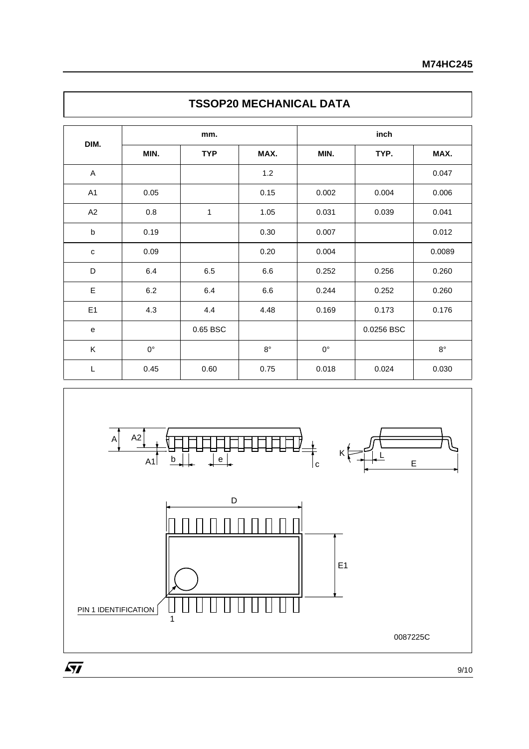|              |             | mm.        |             | inch        |            |             |  |
|--------------|-------------|------------|-------------|-------------|------------|-------------|--|
| DIM.         | MIN.        | <b>TYP</b> | MAX.        | MIN.        | TYP.       | MAX.        |  |
| A            |             |            | $1.2$       |             |            | 0.047       |  |
| A1           | 0.05        |            | 0.15        | 0.002       | 0.004      | 0.006       |  |
| A2           | 0.8         | 1          | 1.05        | 0.031       | 0.039      | 0.041       |  |
| $\sf b$      | 0.19        |            | 0.30        | 0.007       |            | 0.012       |  |
| $\mathbf c$  | 0.09        |            | 0.20        | 0.004       |            | 0.0089      |  |
| D            | 6.4         | 6.5        | $6.6\,$     | 0.252       | 0.256      | 0.260       |  |
| E            | $6.2\,$     | 6.4        | $6.6\,$     | 0.244       | 0.252      | 0.260       |  |
| E1           | 4.3         | 4.4        | 4.48        | 0.169       | 0.173      | 0.176       |  |
| $\mathbf{e}$ |             | 0.65 BSC   |             |             | 0.0256 BSC |             |  |
| K            | $0^{\circ}$ |            | $8^{\circ}$ | $0^{\circ}$ |            | $8^{\circ}$ |  |
| L            | 0.45        | 0.60       | 0.75        | 0.018       | 0.024      | 0.030       |  |





9/10